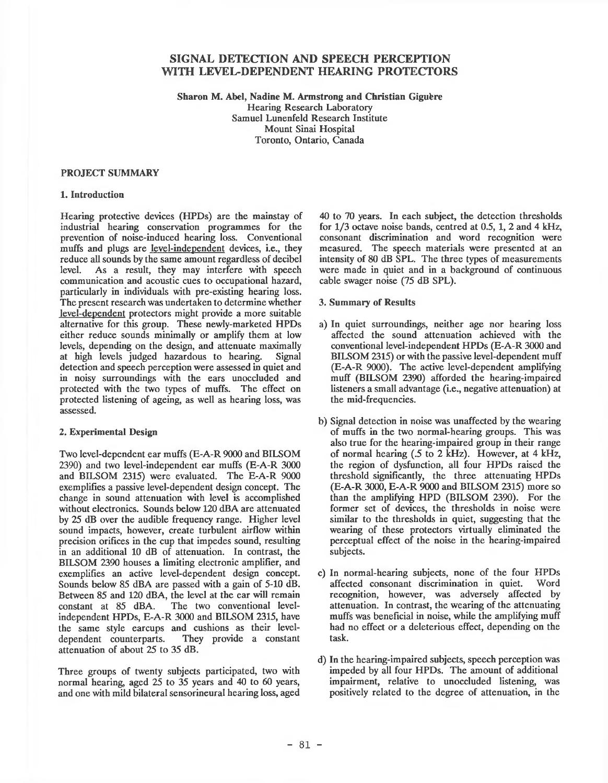# **SIGNAL DETECTION AND SPEECH PERCEPTION WITH LEVEL-DEPENDENT HEARING PROTECTORS**

**Sharon M. Abel, Nadine M. Armstrong and Christian Giguere** Hearing Research Laboratory Samuel Lunenfeld Research Institute Mount Sinai Hospital Toronto, Ontario, Canada

#### **PROJECT SUMMARY**

### **1. Introduction**

Hearing protective devices (HPDs) are the mainstay of industrial hearing conservation programmes for the prevention of noise-induced hearing loss. Conventional muffs and plugs are level-independent devices, i.e., they reduce all sounds by the same amount regardless of decibel level. As a result, they may interfere with speech communication and acoustic cues to occupational hazard, particularly in individuals with pre-existing hearing loss. The present research was undertaken to determine whether level-dependent protectors might provide a more suitable alternative for this group. These newly-marketed HPDs either reduce sounds minimally or amplify them at low levels, depending on the design, and attenuate maximally at high levels judged hazardous to hearing. Signal detection and speech perception were assessed in quiet and in noisy surroundings with the ears unoccluded and protected with the two types of muffs. The effect on protected listening of ageing, as well as hearing loss, was assessed.

### **2. Experimental Design**

Two level-dependent ear muffs (E-A-R 9000 and BILSOM 2390) and two level-independent ear muffs (E-A-R 3000 and BILSOM 2315) were evaluated. The E-A-R 9000 exemplifies a passive level-dependent design concept. The change in sound attenuation with level is accomplished without electronics. Sounds below 120 dBA are attenuated by 25 dB over the audible frequency range. Higher level sound impacts, however, create turbulent airflow within precision orifices in the cup that impedes sound, resulting in an additional 10 dB of attenuation. In contrast, the BILSOM 2390 houses a limiting electronic amplifier, and exemplifies an active level-dependent design concept. Sounds below 85 dBA are passed with a gain of 5-10 dB. Between 85 and 120 dBA, the level at the ear will remain constant at 85 dBA. The two conventional level-The two conventional levelindependent HPDs, E-A-R 3000 and BILSOM 2315, have the same style earcups and cushions as their leveldependent counterparts. They provide a constant attenuation of about 25 to 35 dB.

Three groups of twenty subjects participated, two with normal hearing, aged 25 to 35 years and 40 to 60 years, and one with mild bilateral sensorineural hearing loss, aged

40 to 70 years. In each subject, the detection thresholds for 1/3 octave noise bands, centred at 0.5, 1, 2 and 4 kHz, consonant discrimination and word recognition were measured. The speech materials were presented at an intensity of 80 dB SPL. The three types of measurements were made in quiet and in a background of continuous cable swager noise (75 dB SPL).

#### 3. **Summary of Results**

- a) In quiet surroundings, neither age nor hearing loss affected the sound attenuation achieved with the conventional level-independent HPDs (E-A-R 3000 and BILSOM 2315) or with the passive level-dependent muff (E-A-R 9000). The active level-dependent amplifying muff (BILSOM 2390) afforded the hearing-impaired listeners a small advantage (i.e., negative attenuation) at the mid-frequencies.
- b) Signal detection in noise was unaffected by the wearing of muffs in the two normal-hearing groups. This was also true for the hearing-impaired group in their range of normal hearing (.5 to 2 kHz). However, at 4 kHz, the region of dysfunction, all four HPDs raised the threshold significantly, the three attenuating HPDs (E-A-R 3000, E-A-R 9000 and BILSOM 2315) more so than the amplifying HPD (BILSOM 2390). For the former set of devices, the thresholds in noise were similar to the thresholds in quiet, suggesting that the wearing of these protectors virtually eliminated the perceptual effect of the noise in the hearing-impaired subjects.
- c) In normal-hearing subjects, none of the four HPDs affected consonant discrimination in quiet. Word recognition, however, was adversely affected by attenuation. In contrast, the wearing of the attenuating muffs was beneficial in noise, while the amplifying muff had no effect or a deleterious effect, depending on the task.
- d) In the hearing-impaired subjects, speech perception was impeded by all four HPDs. The amount of additional impairment, relative to unoccluded listening, was positively related to the degree of attenuation, in the